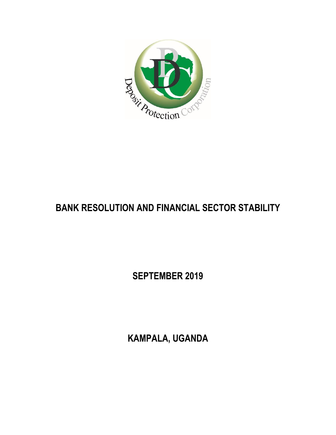

## **BANK RESOLUTION AND FINANCIAL SECTOR STABILITY**

**SEPTEMBER 2019**

**KAMPALA, UGANDA**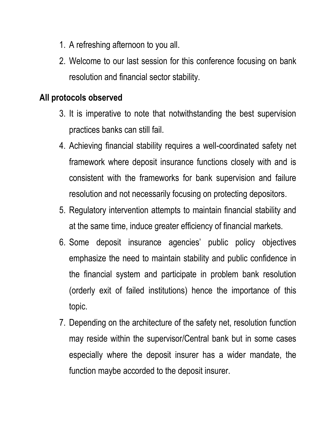- 1. A refreshing afternoon to you all.
- 2. Welcome to our last session for this conference focusing on bank resolution and financial sector stability.

## **All protocols observed**

- 3. It is imperative to note that notwithstanding the best supervision practices banks can still fail.
- 4. Achieving financial stability requires a well-coordinated safety net framework where deposit insurance functions closely with and is consistent with the frameworks for bank supervision and failure resolution and not necessarily focusing on protecting depositors.
- 5. Regulatory intervention attempts to maintain financial stability and at the same time, induce greater efficiency of financial markets.
- 6. Some deposit insurance agencies' public policy objectives emphasize the need to maintain stability and public confidence in the financial system and participate in problem bank resolution (orderly exit of failed institutions) hence the importance of this topic.
- 7. Depending on the architecture of the safety net, resolution function may reside within the supervisor/Central bank but in some cases especially where the deposit insurer has a wider mandate, the function maybe accorded to the deposit insurer.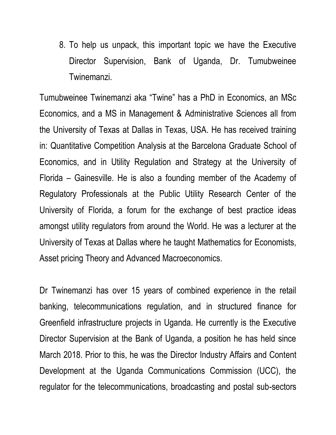8. To help us unpack, this important topic we have the Executive Director Supervision, Bank of Uganda, Dr. Tumubweinee Twinemanzi.

Tumubweinee Twinemanzi aka "Twine" has a PhD in Economics, an MSc Economics, and a MS in Management & Administrative Sciences all from the University of Texas at Dallas in Texas, USA. He has received training in: Quantitative Competition Analysis at the Barcelona Graduate School of Economics, and in Utility Regulation and Strategy at the University of Florida – Gainesville. He is also a founding member of the Academy of Regulatory Professionals at the Public Utility Research Center of the University of Florida, a forum for the exchange of best practice ideas amongst utility regulators from around the World. He was a lecturer at the University of Texas at Dallas where he taught Mathematics for Economists, Asset pricing Theory and Advanced Macroeconomics.

Dr Twinemanzi has over 15 years of combined experience in the retail banking, telecommunications regulation, and in structured finance for Greenfield infrastructure projects in Uganda. He currently is the Executive Director Supervision at the Bank of Uganda, a position he has held since March 2018. Prior to this, he was the Director Industry Affairs and Content Development at the Uganda Communications Commission (UCC), the regulator for the telecommunications, broadcasting and postal sub-sectors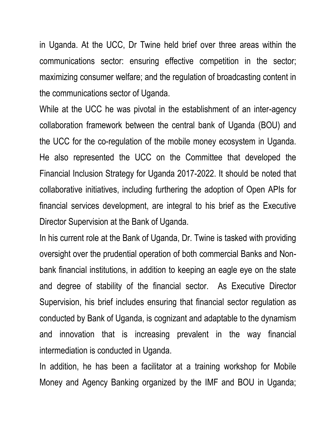in Uganda. At the UCC, Dr Twine held brief over three areas within the communications sector: ensuring effective competition in the sector; maximizing consumer welfare; and the regulation of broadcasting content in the communications sector of Uganda.

While at the UCC he was pivotal in the establishment of an inter-agency collaboration framework between the central bank of Uganda (BOU) and the UCC for the co-regulation of the mobile money ecosystem in Uganda. He also represented the UCC on the Committee that developed the Financial Inclusion Strategy for Uganda 2017-2022. It should be noted that collaborative initiatives, including furthering the adoption of Open APIs for financial services development, are integral to his brief as the Executive Director Supervision at the Bank of Uganda.

In his current role at the Bank of Uganda, Dr. Twine is tasked with providing oversight over the prudential operation of both commercial Banks and Nonbank financial institutions, in addition to keeping an eagle eye on the state and degree of stability of the financial sector. As Executive Director Supervision, his brief includes ensuring that financial sector regulation as conducted by Bank of Uganda, is cognizant and adaptable to the dynamism and innovation that is increasing prevalent in the way financial intermediation is conducted in Uganda.

In addition, he has been a facilitator at a training workshop for Mobile Money and Agency Banking organized by the IMF and BOU in Uganda;